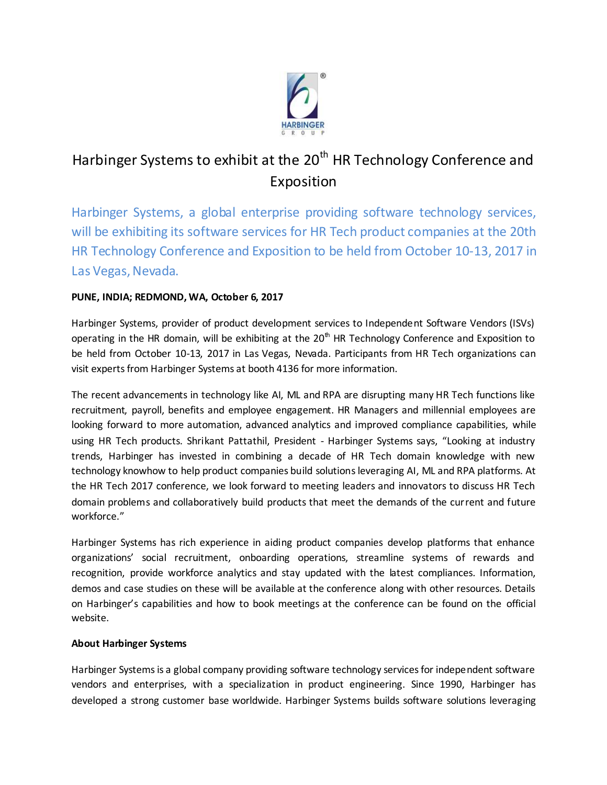

# Harbinger Systems to exhibit at the 20<sup>th</sup> HR Technology Conference and Exposition

Harbinger Systems, a global enterprise providing software technology services, will be exhibiting its software services for HR Tech product companies at the 20th HR Technology Conference and Exposition to be held from October 10-13, 2017 in Las Vegas, Nevada.

# **PUNE, INDIA; REDMOND, WA, October 6, 2017**

Harbinger Systems, provider of product development services to Independent Software Vendors (ISVs) operating in the HR domain, will be exhibiting at the  $20<sup>th</sup>$  HR Technology Conference and Exposition to be held from October 10-13, 2017 in Las Vegas, Nevada. Participants from HR Tech organizations can visit experts from Harbinger Systems at booth 4136 for more information.

The recent advancements in technology like AI, ML and RPA are disrupting many HR Tech functions like recruitment, payroll, benefits and employee engagement. HR Managers and millennial employees are looking forward to more automation, advanced analytics and improved compliance capabilities, while using HR Tech products. Shrikant Pattathil, President - Harbinger Systems says, "Looking at industry trends, Harbinger has invested in combining a decade of HR Tech domain knowledge with new technology knowhow to help product companies build solutions leveraging AI, ML and RPA platforms. At the HR Tech 2017 conference, we look forward to meeting leaders and innovators to discuss HR Tech domain problems and collaboratively build products that meet the demands of the current and future workforce."

Harbinger Systems has rich experience in aiding product companies develop platforms that enhance organizations' social recruitment, onboarding operations, streamline systems of rewards and recognition, provide workforce analytics and stay updated with the latest compliances. Information, demos and case studies on these will be available at the conference along with other resources. Details on Harbinger's capabilities and how to book meetings at the conference can be found on the official website.

## **About Harbinger Systems**

Harbinger Systems is a global company providing software technology services for independent software vendors and enterprises, with a specialization in product engineering. Since 1990, Harbinger has developed a strong customer base worldwide. Harbinger Systems builds software solutions leveraging